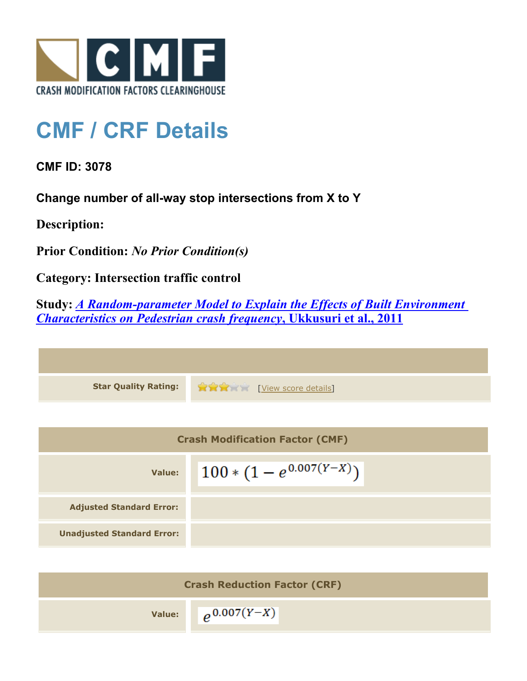

## **CMF / CRF Details**

**CMF ID: 3078**

**Change number of all-way stop intersections from X to Y**

**Description:** 

**Prior Condition:** *No Prior Condition(s)*

**Category: Intersection traffic control**

**Study:** *[A Random-parameter Model to Explain the Effects of Built Environment](http://www.cmfclearinghouse.org/study_detail.cfm?stid=220) [Characteristics on Pedestrian crash frequency](http://www.cmfclearinghouse.org/study_detail.cfm?stid=220)***[, Ukkusuri et al., 2011](http://www.cmfclearinghouse.org/study_detail.cfm?stid=220)**

**Star Quality Rating:** [[View score details](http://www.cmfclearinghouse.org/score_details.cfm?facid=3078)]

| <b>Crash Modification Factor (CMF)</b> |                              |  |
|----------------------------------------|------------------------------|--|
| Value:                                 | $100 * (1 - e^{0.007(Y-X)})$ |  |
| <b>Adjusted Standard Error:</b>        |                              |  |
| <b>Unadjusted Standard Error:</b>      |                              |  |

| <b>Crash Reduction Factor (CRF)</b> |                            |
|-------------------------------------|----------------------------|
|                                     | Value: $\rho^{0.007(Y-X)}$ |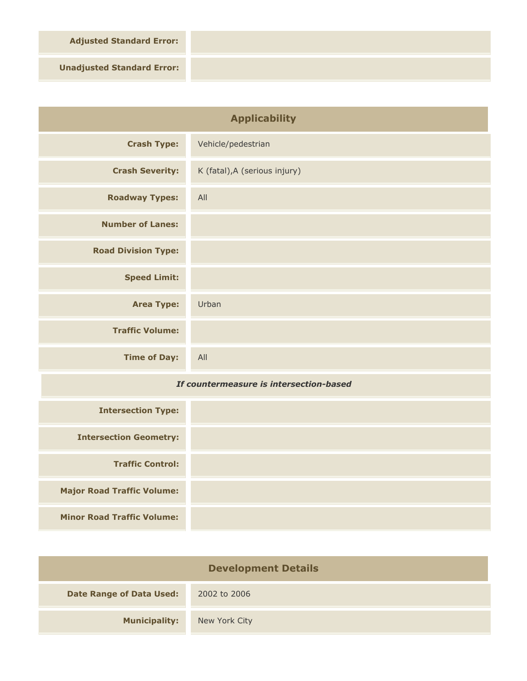**Adjusted Standard Error:**

**Unadjusted Standard Error:**

**Major Road Traffic Volume:**

**Minor Road Traffic Volume:**

| <b>Applicability</b>                    |                               |
|-----------------------------------------|-------------------------------|
| <b>Crash Type:</b>                      | Vehicle/pedestrian            |
| <b>Crash Severity:</b>                  | K (fatal), A (serious injury) |
| <b>Roadway Types:</b>                   | All                           |
| <b>Number of Lanes:</b>                 |                               |
| <b>Road Division Type:</b>              |                               |
| <b>Speed Limit:</b>                     |                               |
| <b>Area Type:</b>                       | Urban                         |
| <b>Traffic Volume:</b>                  |                               |
| <b>Time of Day:</b>                     | All                           |
| If countermeasure is intersection-based |                               |
| <b>Intersection Type:</b>               |                               |
| <b>Intersection Geometry:</b>           |                               |
| <b>Traffic Control:</b>                 |                               |

| <b>Development Details</b>      |               |  |
|---------------------------------|---------------|--|
| <b>Date Range of Data Used:</b> | 2002 to 2006  |  |
| <b>Municipality:</b>            | New York City |  |